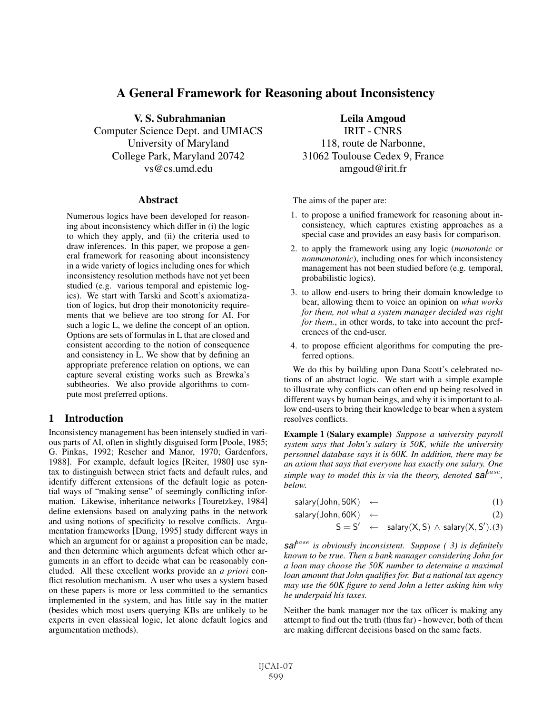# A General Framework for Reasoning about Inconsistency

V. S. Subrahmanian

Computer Science Dept. and UMIACS University of Maryland College Park, Maryland 20742 vs@cs.umd.edu

#### Abstract

Numerous logics have been developed for reasoning about inconsistency which differ in (i) the logic to which they apply, and (ii) the criteria used to draw inferences. In this paper, we propose a general framework for reasoning about inconsistency in a wide variety of logics including ones for which inconsistency resolution methods have not yet been studied (e.g. various temporal and epistemic logics). We start with Tarski and Scott's axiomatization of logics, but drop their monotonicity requirements that we believe are too strong for AI. For such a logic L, we define the concept of an option. Options are sets of formulas in L that are closed and consistent according to the notion of consequence and consistency in L. We show that by defining an appropriate preference relation on options, we can capture several existing works such as Brewka's subtheories. We also provide algorithms to compute most preferred options.

# 1 Introduction

Inconsistency management has been intensely studied in various parts of AI, often in slightly disguised form [Poole, 1985; G. Pinkas, 1992; Rescher and Manor, 1970; Gardenfors, 1988]. For example, default logics [Reiter, 1980] use syntax to distinguish between strict facts and default rules, and identify different extensions of the default logic as potential ways of "making sense" of seemingly conflicting information. Likewise, inheritance networks [Touretzkey, 1984] define extensions based on analyzing paths in the network and using notions of specificity to resolve conflicts. Argumentation frameworks [Dung, 1995] study different ways in which an argument for or against a proposition can be made, and then determine which arguments defeat which other arguments in an effort to decide what can be reasonably concluded. All these excellent works provide an *a priori* conflict resolution mechanism. A user who uses a system based on these papers is more or less committed to the semantics implemented in the system, and has little say in the matter (besides which most users querying KBs are unlikely to be experts in even classical logic, let alone default logics and argumentation methods).

Leila Amgoud IRIT - CNRS

118, route de Narbonne, 31062 Toulouse Cedex 9, France amgoud@irit.fr

The aims of the paper are:

- 1. to propose a unified framework for reasoning about inconsistency, which captures existing approaches as a special case and provides an easy basis for comparison.
- 2. to apply the framework using any logic (*monotonic* or *nonmonotonic*), including ones for which inconsistency management has not been studied before (e.g. temporal, probabilistic logics).
- 3. to allow end-users to bring their domain knowledge to bear, allowing them to voice an opinion on *what works for them, not what a system manager decided was right for them.*, in other words, to take into account the preferences of the end-user.
- 4. to propose efficient algorithms for computing the preferred options.

We do this by building upon Dana Scott's celebrated notions of an abstract logic. We start with a simple example to illustrate why conflicts can often end up being resolved in different ways by human beings, and why it is important to allow end-users to bring their knowledge to bear when a system resolves conflicts.

Example 1 (Salary example) *Suppose a university payroll system says that John's salary is 50K, while the university personnel database says it is 60K. In addition, there may be an axiom that says that everyone has exactly one salary. One simple way to model this is via the theory, denoted* **sa**<sup>*base*</sup>, *below.*

| salary (John, 50K) $\leftarrow$ |  |  |  |
|---------------------------------|--|--|--|
|---------------------------------|--|--|--|

$$
salary(John, 60K) \leftarrow
$$
 (2)

$$
S = S' \leftarrow \text{ salary}(X, S) \land \text{salary}(X, S').(3)
$$

*sal*base *is obviously inconsistent. Suppose ( 3) is definitely known to be true. Then a bank manager considering John for a loan may choose the 50K number to determine a maximal loan amount that John qualifies for. But a national tax agency may use the 60K figure to send John a letter asking him why he underpaid his taxes.*

Neither the bank manager nor the tax officer is making any attempt to find out the truth (thus far) - however, both of them are making different decisions based on the same facts.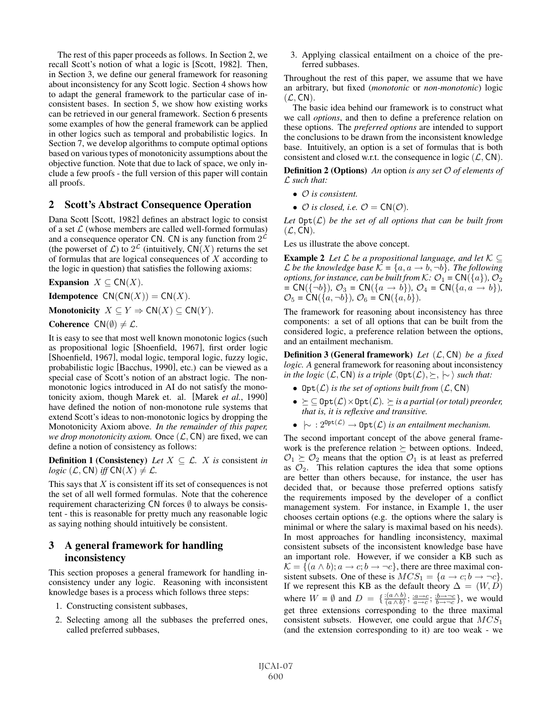The rest of this paper proceeds as follows. In Section 2, we recall Scott's notion of what a logic is [Scott, 1982]. Then, in Section 3, we define our general framework for reasoning about inconsistency for any Scott logic. Section 4 shows how to adapt the general framework to the particular case of inconsistent bases. In section 5, we show how existing works can be retrieved in our general framework. Section 6 presents some examples of how the general framework can be applied in other logics such as temporal and probabilistic logics. In Section 7, we develop algorithms to compute optimal options based on various types of monotonicity assumptions about the objective function. Note that due to lack of space, we only include a few proofs - the full version of this paper will contain all proofs.

#### 2 Scott's Abstract Consequence Operation

Dana Scott [Scott, 1982] defines an abstract logic to consist of a set  $\mathcal L$  (whose members are called well-formed formulas) and a consequence operator CN. CN is any function from  $2^{\mathcal{L}}$ (the powerset of  $\mathcal{L}$ ) to  $2^{\mathcal{L}}$  (intuitively,  $CN(X)$  returns the set of formulas that are logical consequences of  $X$  according to the logic in question) that satisfies the following axioms:

Expansion  $X \subseteq CN(X)$ .

**Idempotence**  $CN(CN(X)) = CN(X)$ .

Monotonicity  $X \subseteq Y \Rightarrow \mathsf{CN}(X) \subseteq \mathsf{CN}(Y)$ .

Coherence  $CN(\emptyset) \neq \mathcal{L}$ .

It is easy to see that most well known monotonic logics (such as propositional logic [Shoenfield, 1967], first order logic [Shoenfield, 1967], modal logic, temporal logic, fuzzy logic, probabilistic logic [Bacchus, 1990], etc.) can be viewed as a special case of Scott's notion of an abstract logic. The nonmonotonic logics introduced in AI do not satisfy the monotonicity axiom, though Marek et. al. [Marek *et al.*, 1990] have defined the notion of non-monotone rule systems that extend Scott's ideas to non-monotonic logics by dropping the Monotonicity Axiom above. *In the remainder of this paper, we drop monotonicity axiom.* Once  $(L, CN)$  are fixed, we can define a notion of consistency as follows:

**Definition 1 (Consistency)** *Let*  $X \subseteq \mathcal{L}$ . *X is* consistent *in logic*  $(L, CN)$  *iff*  $CN(X) \neq L$ .

This says that  $X$  is consistent iff its set of consequences is not the set of all well formed formulas. Note that the coherence requirement characterizing  $CN$  forces  $\emptyset$  to always be consistent - this is reasonable for pretty much any reasonable logic as saying nothing should intuitively be consistent.

# 3 A general framework for handling inconsistency

This section proposes a general framework for handling inconsistency under any logic. Reasoning with inconsistent knowledge bases is a process which follows three steps:

- 1. Constructing consistent subbases,
- 2. Selecting among all the subbases the preferred ones, called preferred subbases,

3. Applying classical entailment on a choice of the preferred subbases.

Throughout the rest of this paper, we assume that we have an arbitrary, but fixed (*monotonic* or *non-monotonic*) logic  $(\mathcal{L}, \mathsf{CN})$ .

The basic idea behind our framework is to construct what we call *options*, and then to define a preference relation on these options. The *preferred options* are intended to support the conclusions to be drawn from the inconsistent knowledge base. Intuitively, an option is a set of formulas that is both consistent and closed w.r.t. the consequence in logic  $(\mathcal{L}, \mathsf{CN})$ .

Definition 2 (Options) *An* option *is any set* O *of elements of* L *such that:*

- O *is consistent.*
- $\mathcal O$  *is closed, i.e.*  $\mathcal O = \mathsf{CN}(\mathcal O)$ *.*

Let  $\mathrm{Opt}(\mathcal{L})$  *be the set of all options that can be built from*  $(\mathcal{L}, \mathsf{CN})$ .

Les us illustrate the above concept.

**Example 2** Let  $\mathcal L$  be a propositional language, and let  $\mathcal K \subseteq$ *L* be the knowledge base  $K = \{a, a \rightarrow b, \neg b\}$ . The following *options, for instance, can be built from K:*  $\mathcal{O}_1 = \mathsf{CN}(\{a\})$ ,  $\mathcal{O}_2$  $= CN(\{\neg b\}), \mathcal{O}_3 = CN(\{a \rightarrow b\}), \mathcal{O}_4 = CN(\{a, a \rightarrow b\}),$  $\mathcal{O}_5 = \mathsf{CN}(\{a, \neg b\}), \mathcal{O}_6 = \mathsf{CN}(\{a, b\}).$ 

The framework for reasoning about inconsistency has three components: a set of all options that can be built from the considered logic, a preference relation between the options, and an entailment mechanism.

Definition 3 (General framework) *Let* (L, CN) *be a fixed logic. A* general framework for reasoning about inconsistency *in the logic*  $(L, \text{CN})$  *is a triple*  $\langle \text{Opt}(L), \succeq, \, \, \rangle$  *such that:* 

- $Opt(\mathcal{L})$  *is the set of options built from*  $(\mathcal{L}, \mathsf{CN})$
- $\bullet$   $\succeq$   $\subseteq$   $\text{Opt}(\mathcal{L}) \times \text{Opt}(\mathcal{L})$ *.*  $\succeq$  *is a partial (or total) preorder, that is, it is reflexive and transitive.*
- $\bullet \ \ \sim : 2^{\text{Opt}(\mathcal{L})} \to \text{Opt}(\mathcal{L})$  *is an entailment mechanism.*

The second important concept of the above general framework is the preference relation  $\succeq$  between options. Indeed,  $\mathcal{O}_1 \succeq \mathcal{O}_2$  means that the option  $\mathcal{O}_1$  is at least as preferred as  $\mathcal{O}_2$ . This relation captures the idea that some options are better than others because, for instance, the user has decided that, or because those preferred options satisfy the requirements imposed by the developer of a conflict management system. For instance, in Example 1, the user chooses certain options (e.g. the options where the salary is minimal or where the salary is maximal based on his needs). In most approaches for handling inconsistency, maximal consistent subsets of the inconsistent knowledge base have an important role. However, if we consider a KB such as  $\mathcal{K} = \{(a \wedge b); a \rightarrow c; b \rightarrow \neg c\}$ , there are three maximal consistent subsets. One of these is  $MCS_1 = \{a \rightarrow c; b \rightarrow \neg c\}.$ If we represent this KB as the default theory  $\Delta = (W, D)$ where  $W = \emptyset$  and  $D = \{\frac{(a \wedge b)}{(a \wedge b)}; \frac{a \rightarrow c}{a \rightarrow c}; \frac{b \rightarrow \neg c}{b \rightarrow \neg c}\}$ , we would get three extensions corresponding to the three maximal consistent subsets. However, one could argue that  $MCS<sub>1</sub>$ (and the extension corresponding to it) are too weak - we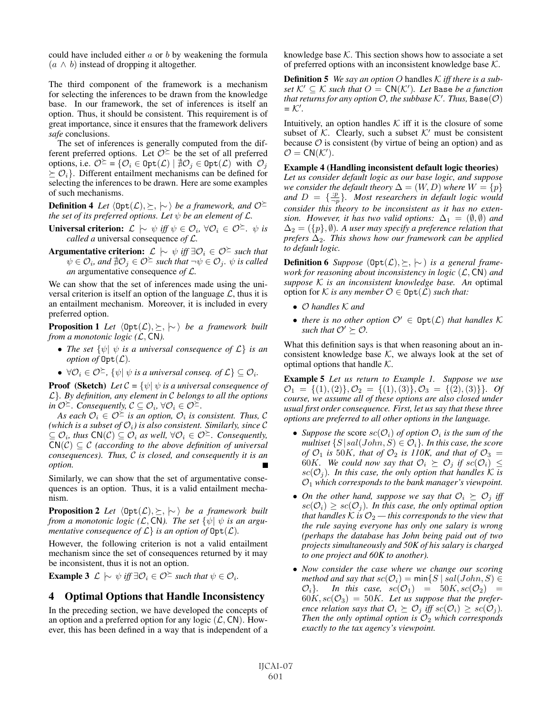could have included either  $a$  or  $b$  by weakening the formula  $(a \wedge b)$  instead of dropping it altogether.

The third component of the framework is a mechanism for selecting the inferences to be drawn from the knowledge base. In our framework, the set of inferences is itself an option. Thus, it should be consistent. This requirement is of great importance, since it ensures that the framework delivers *safe* conclusions.

The set of inferences is generally computed from the different preferred options. Let  $\mathcal{O}^{\succeq}$  be the set of all preferred options, i.e.  $\mathcal{O}^{\succeq} = \{ \mathcal{O}_i \in \text{Opt}(\mathcal{L}) \mid \nexists \mathcal{O}_j \in \text{Opt}(\mathcal{L}) \text{ with } \mathcal{O}_j \}$  $\geq O_i$ . Different entailment mechanisms can be defined for selecting the inferences to be drawn. Here are some examples of such mechanisms.

**Definition 4** Let  $\langle \text{Opt}(\mathcal{L}), \succeq, \, \sim \rangle$  be a framework, and  $\mathcal{O}^{\succeq}$ *the set of its preferred options. Let*  $\psi$  *be an element of*  $\mathcal{L}$ *.* 

Universal criterion:  $\mathcal{L}$   $\sim$  ψ *iff*  $ψ ∈ \mathcal{O}_i$ , ∀ $\mathcal{O}_i ∈ \mathcal{O}^{\succeq}$ . ψ *is called a* universal consequence *of* L*.*

**Argumentative criterion:**  $\mathcal{L} \models \psi$  *iff* ∃ $\mathcal{O}_i \in \mathcal{O}^{\succeq}$  *such that*  $\psi \in \mathcal{O}_i$ , and  $\sharp \mathcal{O}_j \in \mathcal{O}^{\succeq}$  such that  $\neg \psi \in \mathcal{O}_j$ .  $\psi$  is called *an* argumentative consequence *of* L*.*

We can show that the set of inferences made using the universal criterion is itself an option of the language  $\mathcal{L}$ , thus it is an entailment mechanism. Moreover, it is included in every preferred option.

Proposition 1 *Let*  $\langle \text{Opt}(\mathcal{L}), \succeq, \, \sim \rangle$  *be a framework built from a monotonic logic (*L, CN*).*

- *The set* {ψ| ψ *is a universal consequence of* L} *is an option of*  $\text{Opt}(\mathcal{L})$ *.*
- $\forall \mathcal{O}_i \in \mathcal{O}^{\succeq}$ ,  $\{\psi | \psi \text{ is a universal conseq. of } \mathcal{L}\} \subseteq \mathcal{O}_i$ .

**Proof** (Sketch) *Let*  $C = \{ \psi | \psi \}$  *is a universal consequence of* L}*. By definition, any element in* C *belongs to all the options in*  $\mathcal{O}^{\succeq}$ *. Consequently,*  $\mathcal{C} \subseteq \mathcal{O}_i$ *,* ∀ $\mathcal{O}_i \in \mathcal{O}^{\succeq}$ *.* 

*As each*  $\mathcal{O}_i \in \mathcal{O}^{\succeq}$  *is an option,*  $\mathcal{O}_i$  *is consistent. Thus,* C *(which is a subset of*  $\mathcal{O}_i$ *) is also consistent. Similarly, since*  $\mathcal C$  $\subseteq$   $\mathcal{O}_i$ *, thus* CN( $\mathcal{C}$ )  $\subseteq$   $\mathcal{O}_i$  *as well,* ∀ $\mathcal{O}_i$  ∈  $\mathcal{O}^{\succeq}$ *. Consequently,*  $CN(\mathcal{C}) \subseteq \mathcal{C}$  *(according to the above definition of universal consequences). Thus,* C *is closed, and consequently it is an option.*

Similarly, we can show that the set of argumentative consequences is an option. Thus, it is a valid entailment mechanism.

**Proposition 2** *Let*  $\langle \text{Opt}(\mathcal{L}), \succeq, \, \sim \rangle$  *be a framework built from a monotonic logic* (*L*, CN). The set  $\{\psi | \psi \}$  is an argu*mentative consequence of*  $\mathcal{L}$ *} is an option of*  $\text{Opt}(\mathcal{L})$ *.* 

However, the following criterion is not a valid entailment mechanism since the set of consequences returned by it may be inconsistent, thus it is not an option.

**Example 3**  $\mathcal{L} \models \psi$  *iff*  $\exists \mathcal{O}_i \in \mathcal{O}^{\succeq}$  such that  $\psi \in \mathcal{O}_i$ .

#### 4 Optimal Options that Handle Inconsistency

In the preceding section, we have developed the concepts of an option and a preferred option for any logic  $(\mathcal{L}, \mathsf{CN})$ . However, this has been defined in a way that is independent of a knowledge base  $K$ . This section shows how to associate a set of preferred options with an inconsistent knowledge base  $K$ .

Definition 5 *We say an option* O handles K *iff there is a subset*  $K' \subseteq K$  *such that*  $O = \text{CN}(K')$ *. Let* Base *be a function*  $\mathit{that}$  returns for any option  $\mathcal O,$  the subbase  $\mathcal K'.$  Thus,  $\texttt{Base}(\mathcal O)$  $=$   $K'$ .

Intuitively, an option handles  $K$  iff it is the closure of some subset of  $K$ . Clearly, such a subset  $K'$  must be consistent because  $\mathcal O$  is consistent (by virtue of being an option) and as  $\mathcal{O} = \mathsf{CN}(\mathcal{K}').$ 

Example 4 (Handling inconsistent default logic theories)

*Let us consider default logic as our base logic, and suppose we consider the default theory*  $\Delta = (W, D)$  *where*  $W = \{p\}$ *and*  $D = \{\frac{p}{-p}\}\$ . Most researchers in default logic would *consider this theory to be inconsistent as it has no extension. However, it has two valid options:*  $\Delta_1 = (\emptyset, \emptyset)$  *and*  $\Delta_2 = (\{p\}, \emptyset)$ . A user may specify a preference relation that *prefers*  $\Delta_2$ . This shows how our framework can be applied *to default logic.*

**Definition 6** *Suppose* ( $\text{Opt}(\mathcal{L}), \succeq, \succeq$ ) *is a general framework for reasoning about inconsistency in logic* (L, CN) *and suppose* K *is an inconsistent knowledge base. An* optimal option for K *is any member*  $\mathcal{O} \in \text{Opt}(\mathcal{L})$  *such that:* 

- O *handles* K *and*
- there is no other option  $\mathcal{O}' \in \mathrm{Opt}(\mathcal{L})$  that handles K such that  $\mathcal{O}' \succeq \mathcal{O}$ .

What this definition says is that when reasoning about an inconsistent knowledge base  $K$ , we always look at the set of optimal options that handle  $K$ .

Example 5 *Let us return to Example 1. Suppose we use*  $\mathcal{O}_1 = \{(1), (2)\}, \mathcal{O}_2 = \{(1), (3)\}, \mathcal{O}_3 = \{(2), (3)\}\}.$  Of *course, we assume all of these options are also closed under usual first order consequence. First, let us say that these three options are preferred to all other options in the language.*

- *Suppose the* score  $\mathit{sc}(\mathcal{O}_i)$  *of option*  $\mathcal{O}_i$  *is the sum of the multiset*  $\{S | sal(John, S) \in \mathcal{O}_i\}$ *. In this case, the score of*  $\mathcal{O}_1$  *is* 50K*, that of*  $\mathcal{O}_2$  *is 110K, and that of*  $\mathcal{O}_3$  = 60K. We could now say that  $\mathcal{O}_i \succeq \mathcal{O}_j$  if  $sc(\mathcal{O}_i) \leq$  $sc(O_i)$ *. In this case, the only option that handles* K *is* O<sup>1</sup> *which corresponds to the bank manager's viewpoint.*
- On the other hand, suppose we say that  $\mathcal{O}_i \succeq \mathcal{O}_j$  iff  $\mathit{sc}(\mathcal{O}_i) \geq \mathit{sc}(\mathcal{O}_i)$ *. In this case, the only optimal option that handles*  $K$  *is*  $\mathcal{O}_2$  — *this corresponds to the view that the rule saying everyone has only one salary is wrong (perhaps the database has John being paid out of two projects simultaneously and 50K of his salary is charged to one project and 60K to another).*
- *Now consider the case where we change our scoring method and say that*  $sc(O_i) = min\{S \mid sal(John, S) \in$  $\mathcal{O}_i$ *}.* In this case,  $sc(\mathcal{O}_1) = 50K, sc(\mathcal{O}_2) =$  $60K, sc(\mathcal{O}_3) = 50K$ . Let us suppose that the prefer*ence relation says that*  $\mathcal{O}_i \succeq \mathcal{O}_j$  *iff*  $sc(\mathcal{O}_i) \geq sc(\mathcal{O}_j)$ *. Then the only optimal option is*  $\mathcal{O}_2$  *which corresponds exactly to the tax agency's viewpoint.*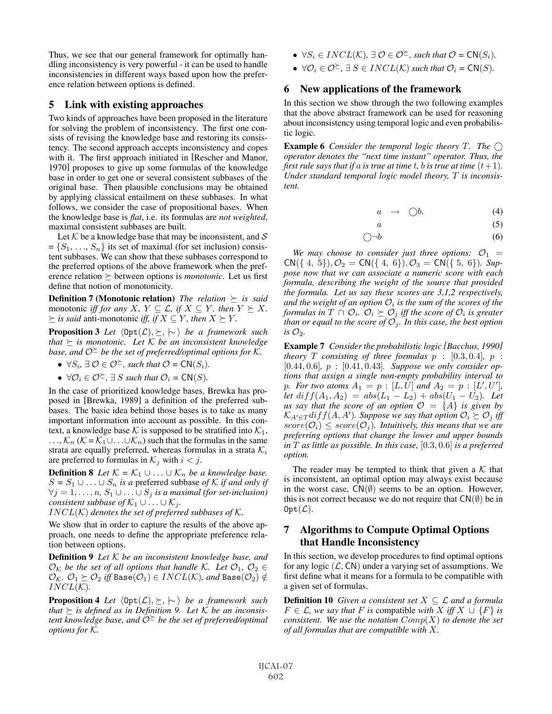Thus, we see that our general framework for optimally handling inconsistency is very powerful - it can be used to handle inconsistencies in different ways based upon how the preference relation between options is defined.

## 5 Link with existing approaches

Two kinds of approaches have been proposed in the literature for solving the problem of inconsistency. The first one consists of revising the knowledge base and restoring its consistency. The second approach accepts inconsistency and copes with it. The first approach initiated in [Rescher and Manor, 1970] proposes to give up some formulas of the knowledge base in order to get one or several consistent subbases of the original base. Then plausible conclusions may be obtained by applying classical entailment on these subbases. In what follows, we consider the case of propositional bases. When the knowledge base is *flat*, i.e. its formulas are *not weighted*, maximal consistent subbases are built.

Let  $K$  be a knowledge base that may be inconsistent, and  $S$  $=\{S_1, \ldots, S_n\}$  its set of maximal (for set inclusion) consistent subbases. We can show that these subbases correspond to the preferred options of the above framework when the preference relation  $\succeq$  between options is *monotonic*. Let us first define that notion of monotonicity.

Definition 7 (Monotonic relation) *The relation is said* monotonic *iff for any*  $X, Y \subseteq \mathcal{L}$ , *if*  $X \subseteq Y$ *, then*  $Y \succeq X$ *.*  $\succeq$  *is said* anti-monotonic *iff, if*  $X \subseteq Y$ *, then*  $X \succeq Y$ *.* 

Proposition 3 *Let*  $\langle Opt(\mathcal{L}), \succeq, \, \sim \rangle$  *be a framework such that is monotonic. Let* K *be an inconsistent knowledge base, and*  $\mathcal{O}^{\geq}$  *be the set of preferred/optimal options for*  $\mathcal{K}$ *.* 

- $\forall S_i, \exists \mathcal{O} \in \mathcal{O}^{\succeq}$ , such that  $\mathcal{O} = \mathsf{CN}(S_i)$ .
- $\forall \mathcal{O}_i \in \mathcal{O}^{\succeq}$ ,  $\exists S$  *such that*  $\mathcal{O}_i = \mathsf{CN}(S)$ *.*

In the case of prioritized knowledge bases, Brewka has proposed in [Brewka, 1989] a definition of the preferred subbases. The basic idea behind those bases is to take as many important information into account as possible. In this context, a knowledge base K is supposed to be stratified into  $\mathcal{K}_1$ ,  $\ldots, K_n$  ( $K = K_1 \cup \ldots \cup K_n$ ) such that the formulas in the same strata are equally preferred, whereas formulas in a strata  $\mathcal{K}_i$ are preferred to formulas in  $\mathcal{K}_j$  with  $i < j$ .

**Definition 8** *Let*  $K = K_1 \cup ... \cup K_n$  *be a knowledge base.*  $S = S_1 \cup \ldots \cup S_n$  *is a* preferred subbase *of* K *if and only if*  $\forall j = 1, \ldots, n, S_1 \cup \ldots \cup S_j$  *is a maximal (for set-inclusion) consistent subbase of*  $\mathcal{K}_1 \cup \ldots \cup \mathcal{K}_j$ *.* 

 $INCL(K)$  denotes the set of preferred subbases of K.

We show that in order to capture the results of the above approach, one needs to define the appropriate preference relation between options.

Definition 9 *Let* K *be an inconsistent knowledge base, and*  $\mathcal{O}_{\mathcal{K}}$  *be the set of all options that handle*  $\mathcal{K}$ *. Let*  $\mathcal{O}_1$ *,*  $\mathcal{O}_2$   $\in$  $\mathcal{O}_\mathcal{K}$ *.*  $\mathcal{O}_1 \succeq \mathcal{O}_2$  *iff* Base( $\mathcal{O}_1$ )  $\in INCL(\mathcal{K})$ *, and* Base( $\mathcal{O}_2$ )  $\notin$  $INCL(K)$ .

Proposition 4 *Let*  $\langle \text{Opt}(\mathcal{L}), \succeq, \, \sim \rangle$  *be a framework such that*  $\succeq$  *is defined as in Definition 9. Let*  $K$  *be an inconsistent knowledge base, and*  $\hat{O}^{\geq}$  *be the set of preferred/optimal options for* K*.*

- $\forall S_i \in INCL(\mathcal{K}), \exists \mathcal{O} \in \mathcal{O}^{\succeq}$ , such that  $\mathcal{O} = \mathsf{CN}(S_i)$ .
- $\forall \mathcal{O}_i \in \mathcal{O}^{\succeq}, \exists S \in INCL(\mathcal{K})$  *such that*  $\mathcal{O}_i = \mathsf{CN}(S)$ *.*

#### 6 New applications of the framework

In this section we show through the two following examples that the above abstract framework can be used for reasoning about inconsistency using temporal logic and even probabilistic logic.

Example 6 *Consider the temporal logic theory* T*. The operator denotes the "next time instant" operator. Thus, the first rule says that if* a *is true at time* t, *b is true at time*  $(t+1)$ *. Under standard temporal logic model theory,* T *is inconsistent.*

$$
a \rightarrow \bigcirc b. \tag{4}
$$

$$
a \tag{5}
$$

$$
\bigcirc \neg b \tag{6}
$$

We may choose to consider just three options:  $\mathcal{O}_1$  =  $CN({ 4, 5})$ ,  $\mathcal{O}_2 = CN({ 4, 6})$ ,  $\mathcal{O}_3 = CN({ 5, 6})$ *. Suppose now that we can associate a numeric score with each formula, describing the weight of the source that provided the formula. Let us say these scores are 3,1,2 respectively, and the weight of an option*  $O_i$  *is the sum of the scores of the* formulas in  $T \cap \mathcal{O}_i$ .  $\mathcal{O}_i \succeq \mathcal{O}_j$  iff the score of  $\mathcal{O}_i$  is greater *than or equal to the score of*  $\mathcal{O}_j$ *. In this case, the best option is*  $\mathcal{O}_2$ *.* 

Example 7 *Consider the probabilistic logic [Bacchus, 1990] theory*  $T$  *consisting of three formulas*  $p : [0.3, 0.4]$ *,*  $p :$ [0.44, 0.6]*,* p : [0.41, 0.43]*. Suppose we only consider options that assign a single non-empty probability interval to p*. For two atoms  $A_1 = p : [L, U]$  and  $A_2 = p : [L', U']$ , *let*  $diff(A_1, A_2) = abs(L_1 - L_2) + abs(U_1 - U_2)$ . Let *us say that the score of an option*  $\mathcal{O} = \{A\}$  *is given by*  $\mathcal{K}_{A' \in T} \text{diff}(A, A')$ . Suppose we say that option  $\mathcal{O}_i \succeq \mathcal{O}_j$  iff  $score(\mathcal{O}_i) \leq score(\mathcal{O}_i)$ . Intuitively, this means that we are *preferring options that change the lower and upper bounds in* T *as little as possible. In this case,* [0.3, 0.6] *is a preferred option.*

The reader may be tempted to think that given a  $K$  that is inconsistent, an optimal option may always exist because in the worst case,  $CN(\emptyset)$  seems to be an option. However, this is not correct because we do not require that  $CN(\emptyset)$  be in  $Opt(\mathcal{L}).$ 

# 7 Algorithms to Compute Optimal Options that Handle Inconsistency

In this section, we develop procedures to find optimal options for any logic  $(\mathcal{L}, \mathsf{CN})$  under a varying set of assumptions. We first define what it means for a formula to be compatible with a given set of formulas.

**Definition 10** *Given a consistent set*  $X \subseteq \mathcal{L}$  *and a formula*  $F \in \mathcal{L}$ , we say that F is compatible with X iff  $X \cup \{F\}$  is *consistent. We use the notation* Comp(X) *to denote the set of all formulas that are compatible with* X*.*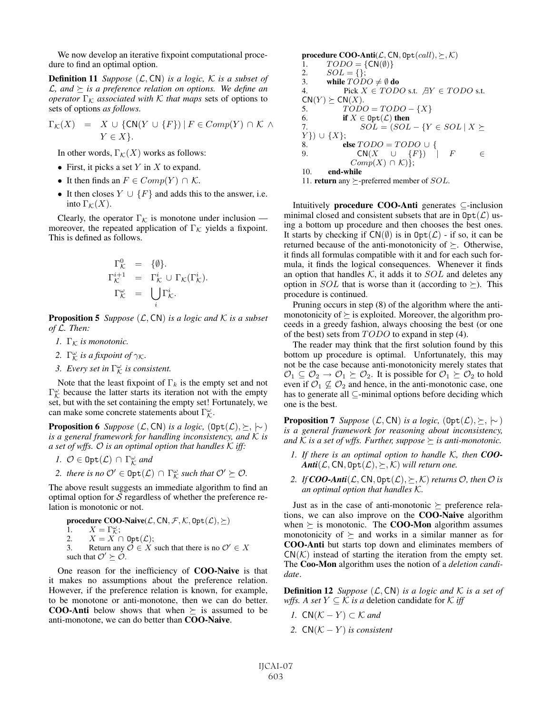We now develop an iterative fixpoint computational procedure to find an optimal option.

**Definition 11** *Suppose*  $(L, CN)$  *is a logic,*  $K$  *is a subset of*  $\mathcal{L}$ , and  $\succeq$  is a preference relation on options. We define an *operator*  $\Gamma_{\mathcal{K}}$  *associated with*  $\mathcal{K}$  *that maps* sets of options to sets of options *as follows.*

$$
\Gamma_{\mathcal{K}}(X) = X \cup \{ \text{CN}(Y \cup \{F\}) \mid F \in Comp(Y) \cap \mathcal{K} \land Y \in X \}.
$$

In other words,  $\Gamma_K(X)$  works as follows:

- First, it picks a set  $Y$  in  $X$  to expand.
- It then finds an  $F \in Comp(Y) \cap \mathcal{K}$ .
- It then closes  $Y \cup \{F\}$  and adds this to the answer, i.e. into  $\Gamma_{\mathcal{K}}(X)$ .

Clearly, the operator  $\Gamma_{\mathcal{K}}$  is monotone under inclusion moreover, the repeated application of  $\Gamma_{\mathcal{K}}$  yields a fixpoint. This is defined as follows.

$$
\begin{array}{rcl}\n\Gamma_{\mathcal{K}}^{0} & = & \{\emptyset\}.\n\Gamma_{\mathcal{K}}^{i+1} & = & \Gamma_{\mathcal{K}}^{i} \cup \Gamma_{\mathcal{K}}(\Gamma_{\mathcal{K}}^{i}).\n\Gamma_{\mathcal{K}}^{\omega} & = & \bigcup_{i} \Gamma_{\mathcal{K}}^{i}.\n\end{array}
$$

**Proposition 5** *Suppose*  $(L, CN)$  *is a logic and*  $K$  *is a subset of* L*. Then:*

- *1.*  $\Gamma_{\mathcal{K}}$  *is monotonic.*
- 2.  $\Gamma^{\omega}_{\mathcal{K}}$  *is a fixpoint of*  $\gamma_{\mathcal{K}}$ *.*
- 3. Every set in  $\Gamma^{\omega}_{\mathcal{K}}$  is consistent.

Note that the least fixpoint of  $\Gamma_k$  is the empty set and not  $\Gamma^{\omega}_{K}$  because the latter starts its iteration not with the empty set, but with the set containing the empty set! Fortunately, we can make some concrete statements about  $\Gamma^{\omega}_{\mathcal{K}}$ .

**Proposition 6** *Suppose*  $(L, CN)$  *is a logic,*  $(\text{Opt}(L), \succeq, \sim)$ *is a general framework for handling inconsistency, and* K *is a set of wffs.* O *is an optimal option that handles* K *iff:*

- *1.*  $\mathcal{O} \in \text{Opt}(\mathcal{L}) \cap \Gamma_{\mathcal{K}}^{\omega}$  and
- 2. there is no  $\mathcal{O}' \in \text{Opt}(\mathcal{L}) \cap \Gamma^{\omega}_{\mathcal{K}}$  such that  $\mathcal{O}' \succeq \mathcal{O}$ .

The above result suggests an immediate algorithm to find an optimal option for  $S$  regardless of whether the preference relation is monotonic or not.

**procedure COO-Naive**(
$$
\mathcal{L}
$$
, CN,  $\mathcal{F}$ ,  $\mathcal{K}$ , Opt( $\mathcal{L}$ ),  $\succeq$ )  
\n1.  $X = \Gamma_{\mathcal{K}}^{\omega}$ ;  
\n2.  $X = X \cap \text{Opt}(\mathcal{L})$ ;  
\n3. Return any  $\mathcal{O} \in X$  such that there is no  $\mathcal{O}' \in X$   
\nsuch that  $\mathcal{O}' \succeq \mathcal{O}$ .

One reason for the inefficiency of COO-Naive is that it makes no assumptions about the preference relation. However, if the preference relation is known, for example, to be monotone or anti-monotone, then we can do better. **COO-Anti** below shows that when  $\succeq$  is assumed to be anti-monotone, we can do better than COO-Naive.

procedure COO-Anti $(\mathcal{L}, \mathsf{CN}, \mathsf{Opt}(call), \succeq, \mathcal{K})$ 1.  $TODO = \{CN(\emptyset)\}$ <br>2.  $SOL = \{\};$ 2.  $SOL = \{\};$ <br>3. while  $TOD$ 3. while  $T\tilde{O}DO \neq \emptyset$  do<br>4. Pick  $X \in TOD$ Pick  $X \in TODO$  s.t.  $AY \in TODO$  s.t.  $CN(Y) \succeq CN(X).$ 5.  $TODO = TODO - {X}$ <br>6. **if**  $X \in Opt(\mathcal{L})$  then 6. if  $X \in \text{Opt}(\mathcal{L})$  then<br>7.  $SOL = (SOL$ 7.  $SOL = (SOL - \{Y \in SOL | X \succeq$  ${Y}$ }) ∪ {X};<br>8. el 8. else  $TODO = TODO \cup \{9.$  CN( $X \cup \{F\}$ )  $CN(X \cup \{F\}) \cap F \subset \in$  $Comp(X) \cap K$ ) }; 10. end-while 11. **return** any  $\succeq$ -preferred member of *SOL*.

Intuitively procedure COO-Anti generates ⊆-inclusion minimal closed and consistent subsets that are in  $\text{Opt}(\mathcal{L})$  using a bottom up procedure and then chooses the best ones. It starts by checking if  $CN(\emptyset)$  is in  $Opt(\mathcal{L})$  - if so, it can be returned because of the anti-monotonicity of  $\succeq$ . Otherwise, it finds all formulas compatible with it and for each such formula, it finds the logical consequences. Whenever it finds an option that handles  $K$ , it adds it to  $SOL$  and deletes any option in *SOL* that is worse than it (according to  $\succeq$ ). This procedure is continued.

Pruning occurs in step (8) of the algorithm where the antimonotonicity of  $\succeq$  is exploited. Moreover, the algorithm proceeds in a greedy fashion, always choosing the best (or one of the best) sets from  $TODO$  to expand in step (4).

The reader may think that the first solution found by this bottom up procedure is optimal. Unfortunately, this may not be the case because anti-monotonicity merely states that  $\mathcal{O}_1 \subseteq \mathcal{O}_2 \to \mathcal{O}_1 \succeq \mathcal{O}_2$ . It is possible for  $\mathcal{O}_1 \succeq \mathcal{O}_2$  to hold even if  $\mathcal{O}_1 \not\subseteq \mathcal{O}_2$  and hence, in the anti-monotonic case, one has to generate all ⊆-minimal options before deciding which one is the best.

**Proposition 7** *Suppose*  $(L, CN)$  *is a logic,*  $(\text{Opt}(L), \succeq, \sim)$ *is a general framework for reasoning about inconsistency,* and K is a set of wffs. Further, suppose  $\succeq$  is anti-monotonic.

- *1. If there is an optimal option to handle* K*, then COO-* $\textit{Anti}(\mathcal{L}, \textsf{CN}, \texttt{Opt}(\mathcal{L}), \succeq, \mathcal{K})$  will return one.
- 2. If  $COO-Anti(\mathcal{L}, \mathsf{CN}, \mathsf{Opt}(\mathcal{L}), \succeq, \mathcal{K})$  *returns*  $\mathcal{O}$ *, then*  $\mathcal{O}$  *is an optimal option that handles* K*.*

Just as in the case of anti-monotonic  $\succeq$  preference relations, we can also improve on the COO-Naive algorithm when  $\succeq$  is monotonic. The **COO-Mon** algorithm assumes monotonicity of  $\succeq$  and works in a similar manner as for COO-Anti but starts top down and eliminates members of  $CN(\mathcal{K})$  instead of starting the iteration from the empty set. The Coo-Mon algorithm uses the notion of a *deletion candidate*.

**Definition 12** *Suppose*  $(L, CN)$  *is a logic and*  $K$  *is a set of wffs. A set*  $Y \subseteq \mathcal{K}$  *is a* deletion candidate for  $\mathcal{K}$  *iff* 

- *1.*  $CN(K Y) \subset K$  and
- *2.*  $CN(K Y)$  *is consistent*